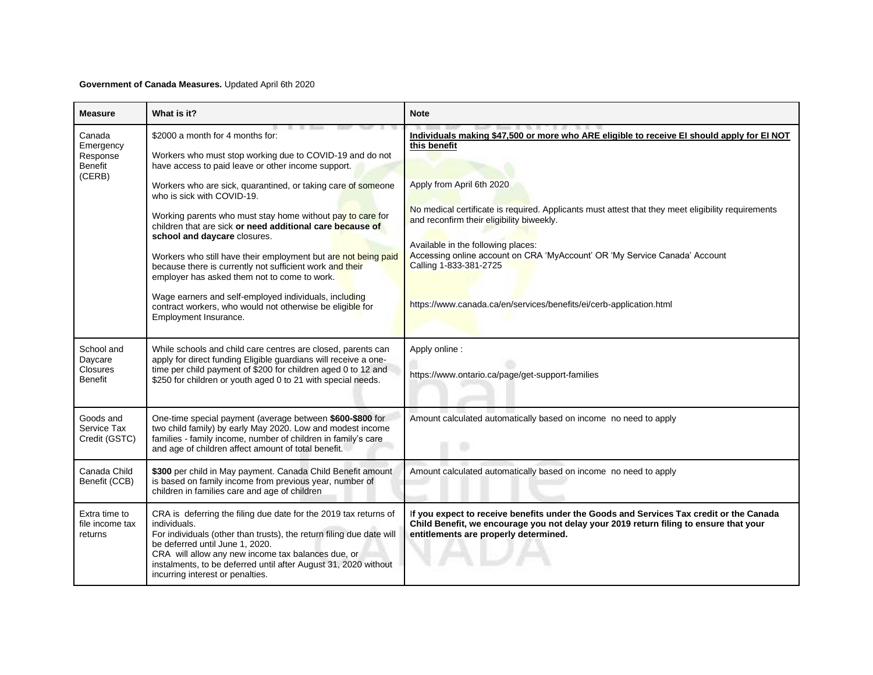## **Government of Canada Measures.** Updated April 6th 2020

| <b>Measure</b>                                       | What is it?                                                                                                                                                                                                                                                                                                                                              | <b>Note</b>                                                                                                                                                                                                                                                                                   |
|------------------------------------------------------|----------------------------------------------------------------------------------------------------------------------------------------------------------------------------------------------------------------------------------------------------------------------------------------------------------------------------------------------------------|-----------------------------------------------------------------------------------------------------------------------------------------------------------------------------------------------------------------------------------------------------------------------------------------------|
| Canada<br>Emergency<br>Response<br>Benefit<br>(CERB) | \$2000 a month for 4 months for:<br>Workers who must stop working due to COVID-19 and do not<br>have access to paid leave or other income support.                                                                                                                                                                                                       | Individuals making \$47,500 or more who ARE eligible to receive El should apply for El NOT<br>this benefit                                                                                                                                                                                    |
|                                                      | Workers who are sick, quarantined, or taking care of someone<br>who is sick with COVID-19.                                                                                                                                                                                                                                                               | Apply from April 6th 2020                                                                                                                                                                                                                                                                     |
|                                                      | Working parents who must stay home without pay to care for<br>children that are sick or need additional care because of<br>school and daycare closures.<br>Workers who still have their employment but are not being paid<br>because there is currently not sufficient work and their<br>employer has asked them not to come to work.                    | No medical certificate is required. Applicants must attest that they meet eligibility requirements<br>and reconfirm their eligibility biweekly.<br>Available in the following places:<br>Accessing online account on CRA 'MyAccount' OR 'My Service Canada' Account<br>Calling 1-833-381-2725 |
|                                                      | Wage earners and self-employed individuals, including<br>contract workers, who would not otherwise be eligible for<br>Employment Insurance.                                                                                                                                                                                                              | https://www.canada.ca/en/services/benefits/ei/cerb-application.html                                                                                                                                                                                                                           |
| School and<br>Daycare<br><b>Closures</b><br>Benefit  | While schools and child care centres are closed, parents can<br>apply for direct funding Eligible guardians will receive a one-<br>time per child payment of \$200 for children aged 0 to 12 and<br>\$250 for children or youth aged 0 to 21 with special needs.                                                                                         | Apply online :<br>https://www.ontario.ca/page/get-support-families                                                                                                                                                                                                                            |
| Goods and<br>Service Tax<br>Credit (GSTC)            | One-time special payment (average between \$600-\$800 for<br>two child family) by early May 2020. Low and modest income<br>families - family income, number of children in family's care<br>and age of children affect amount of total benefit.                                                                                                          | Amount calculated automatically based on income no need to apply<br>o                                                                                                                                                                                                                         |
| Canada Child<br>Benefit (CCB)                        | \$300 per child in May payment. Canada Child Benefit amount<br>is based on family income from previous year, number of<br>children in families care and age of children                                                                                                                                                                                  | Amount calculated automatically based on income no need to apply                                                                                                                                                                                                                              |
| Extra time to<br>file income tax<br>returns          | CRA is deferring the filing due date for the 2019 tax returns of<br>individuals.<br>For individuals (other than trusts), the return filing due date will<br>be deferred until June 1, 2020.<br>CRA will allow any new income tax balances due, or<br>instalments, to be deferred until after August 31, 2020 without<br>incurring interest or penalties. | If you expect to receive benefits under the Goods and Services Tax credit or the Canada<br>Child Benefit, we encourage you not delay your 2019 return filing to ensure that your<br>entitlements are properly determined.                                                                     |